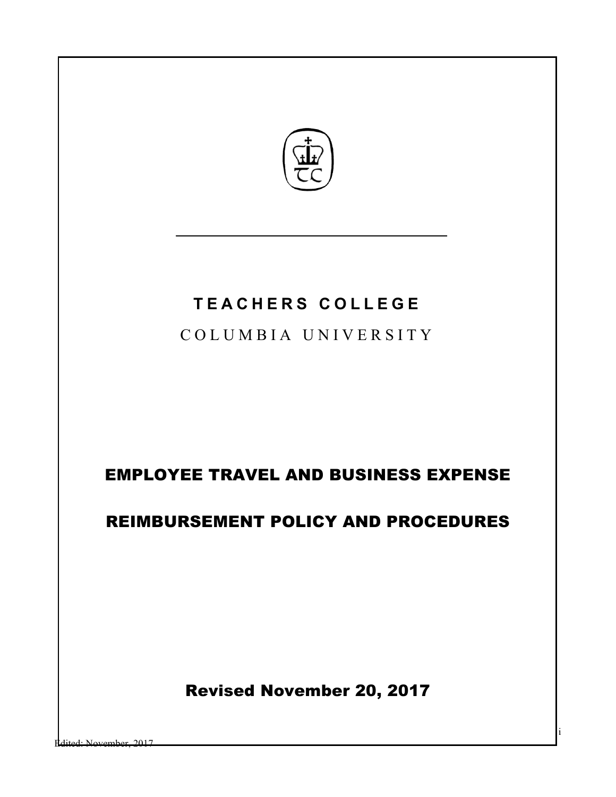

# **TEACHERS COLLEGE**

COLUMBIA UNIVERSITY

# EMPLOYEE TRAVEL AND BUSINESS EXPENSE

# REIMBURSEMENT POLICY AND PROCEDURES

Revised November 20, 2017

i

dited: November, 2017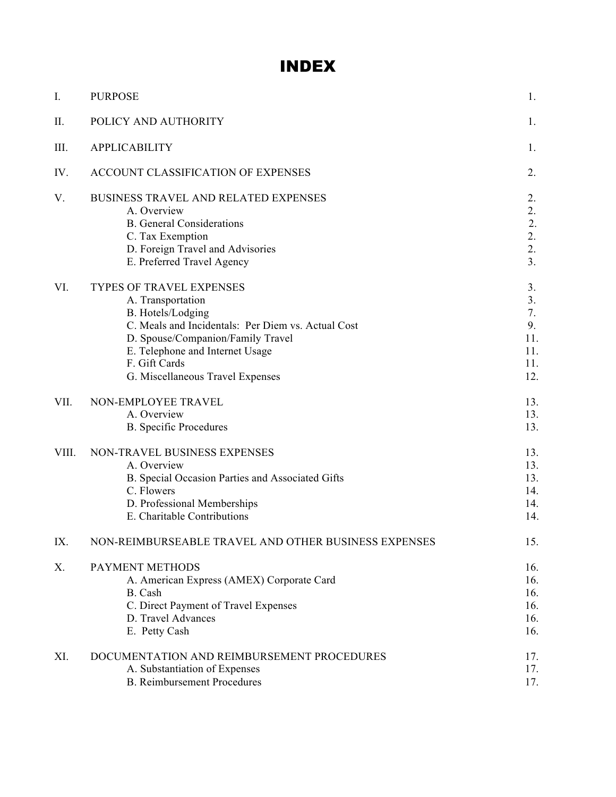# INDEX

| I.    | <b>PURPOSE</b>                                                                                                                                                                                                                                        | 1.                                               |
|-------|-------------------------------------------------------------------------------------------------------------------------------------------------------------------------------------------------------------------------------------------------------|--------------------------------------------------|
| Π.    | POLICY AND AUTHORITY                                                                                                                                                                                                                                  | 1.                                               |
| III.  | <b>APPLICABILITY</b>                                                                                                                                                                                                                                  | 1.                                               |
| IV.   | ACCOUNT CLASSIFICATION OF EXPENSES                                                                                                                                                                                                                    | 2.                                               |
| V.    | BUSINESS TRAVEL AND RELATED EXPENSES<br>A. Overview<br><b>B.</b> General Considerations<br>C. Tax Exemption<br>D. Foreign Travel and Advisories<br>E. Preferred Travel Agency                                                                         | 2.<br>2.<br>2.<br>2.<br>2.<br>3.                 |
| VI.   | TYPES OF TRAVEL EXPENSES<br>A. Transportation<br>B. Hotels/Lodging<br>C. Meals and Incidentals: Per Diem vs. Actual Cost<br>D. Spouse/Companion/Family Travel<br>E. Telephone and Internet Usage<br>F. Gift Cards<br>G. Miscellaneous Travel Expenses | 3.<br>3.<br>7.<br>9.<br>11.<br>11.<br>11.<br>12. |
| VII.  | NON-EMPLOYEE TRAVEL<br>A. Overview<br><b>B.</b> Specific Procedures                                                                                                                                                                                   | 13.<br>13.<br>13.                                |
| VIII. | NON-TRAVEL BUSINESS EXPENSES<br>A. Overview<br>B. Special Occasion Parties and Associated Gifts<br>C. Flowers<br>D. Professional Memberships<br>E. Charitable Contributions                                                                           | 13.<br>13.<br>13.<br>14.<br>14.<br>14.           |
| IX.   | NON-REIMBURSEABLE TRAVEL AND OTHER BUSINESS EXPENSES                                                                                                                                                                                                  | 15.                                              |
| Χ.    | PAYMENT METHODS<br>A. American Express (AMEX) Corporate Card<br>B. Cash<br>C. Direct Payment of Travel Expenses<br>D. Travel Advances<br>E. Petty Cash                                                                                                | 16.<br>16.<br>16.<br>16.<br>16.<br>16.           |
| XI.   | DOCUMENTATION AND REIMBURSEMENT PROCEDURES<br>A. Substantiation of Expenses<br><b>B.</b> Reimbursement Procedures                                                                                                                                     | 17.<br>17.<br>17.                                |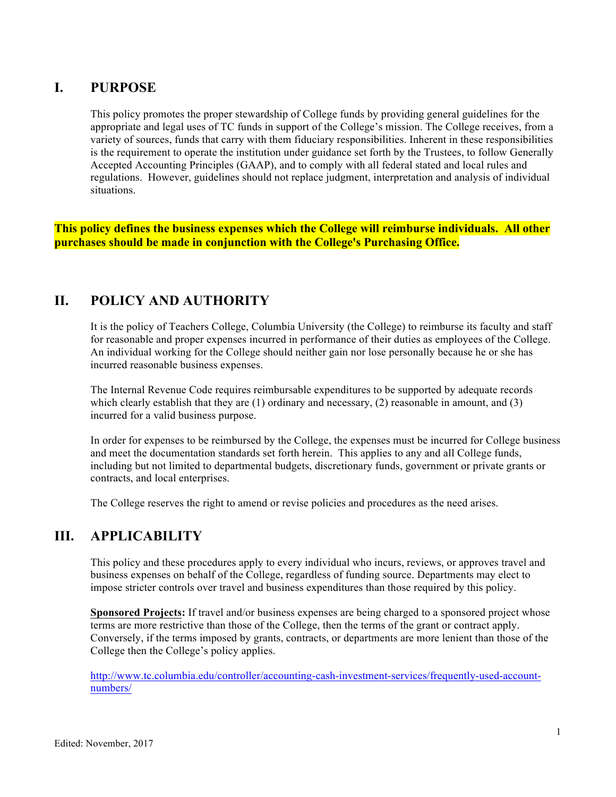# **I. PURPOSE**

This policy promotes the proper stewardship of College funds by providing general guidelines for the appropriate and legal uses of TC funds in support of the College's mission. The College receives, from a variety of sources, funds that carry with them fiduciary responsibilities. Inherent in these responsibilities is the requirement to operate the institution under guidance set forth by the Trustees, to follow Generally Accepted Accounting Principles (GAAP), and to comply with all federal stated and local rules and regulations. However, guidelines should not replace judgment, interpretation and analysis of individual situations.

**This policy defines the business expenses which the College will reimburse individuals. All other purchases should be made in conjunction with the College's Purchasing Office.**

# **II. POLICY AND AUTHORITY**

It is the policy of Teachers College, Columbia University (the College) to reimburse its faculty and staff for reasonable and proper expenses incurred in performance of their duties as employees of the College. An individual working for the College should neither gain nor lose personally because he or she has incurred reasonable business expenses.

The Internal Revenue Code requires reimbursable expenditures to be supported by adequate records which clearly establish that they are  $(1)$  ordinary and necessary,  $(2)$  reasonable in amount, and  $(3)$ incurred for a valid business purpose.

In order for expenses to be reimbursed by the College, the expenses must be incurred for College business and meet the documentation standards set forth herein. This applies to any and all College funds, including but not limited to departmental budgets, discretionary funds, government or private grants or contracts, and local enterprises.

The College reserves the right to amend or revise policies and procedures as the need arises.

# **III. APPLICABILITY**

This policy and these procedures apply to every individual who incurs, reviews, or approves travel and business expenses on behalf of the College, regardless of funding source. Departments may elect to impose stricter controls over travel and business expenditures than those required by this policy.

**Sponsored Projects:** If travel and/or business expenses are being charged to a sponsored project whose terms are more restrictive than those of the College, then the terms of the grant or contract apply. Conversely, if the terms imposed by grants, contracts, or departments are more lenient than those of the College then the College's policy applies.

http://www.tc.columbia.edu/controller/accounting-cash-investment-services/frequently-used-accountnumbers/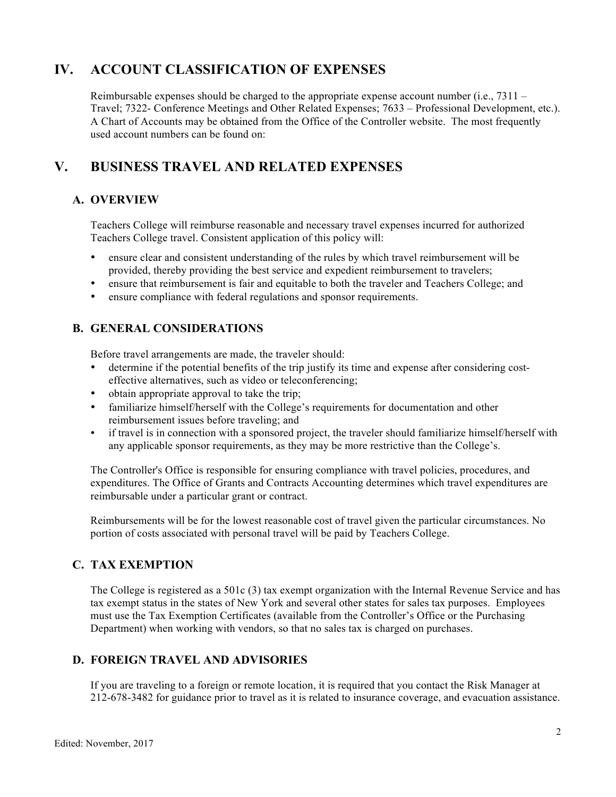# **IV. ACCOUNT CLASSIFICATION OF EXPENSES**

Reimbursable expenses should be charged to the appropriate expense account number (i.e.,  $7311 -$ Travel; 7322- Conference Meetings and Other Related Expenses; 7633 – Professional Development, etc.). A Chart of Accounts may be obtained from the Office of the Controller website. The most frequently used account numbers can be found on:

# **V. BUSINESS TRAVEL AND RELATED EXPENSES**

# **A. OVERVIEW**

Teachers College will reimburse reasonable and necessary travel expenses incurred for authorized Teachers College travel. Consistent application of this policy will:

- ensure clear and consistent understanding of the rules by which travel reimbursement will be provided, thereby providing the best service and expedient reimbursement to travelers;
- ensure that reimbursement is fair and equitable to both the traveler and Teachers College; and
- ensure compliance with federal regulations and sponsor requirements.

# **B. GENERAL CONSIDERATIONS**

Before travel arrangements are made, the traveler should:

- determine if the potential benefits of the trip justify its time and expense after considering costeffective alternatives, such as video or teleconferencing;
- obtain appropriate approval to take the trip;
- familiarize himself/herself with the College's requirements for documentation and other reimbursement issues before traveling; and
- if travel is in connection with a sponsored project, the traveler should familiarize himself/herself with any applicable sponsor requirements, as they may be more restrictive than the College's.

The Controller's Office is responsible for ensuring compliance with travel policies, procedures, and expenditures. The Office of Grants and Contracts Accounting determines which travel expenditures are reimbursable under a particular grant or contract.

Reimbursements will be for the lowest reasonable cost of travel given the particular circumstances. No portion of costs associated with personal travel will be paid by Teachers College.

# **C. TAX EXEMPTION**

The College is registered as a 501c (3) tax exempt organization with the Internal Revenue Service and has tax exempt status in the states of New York and several other states for sales tax purposes. Employees must use the Tax Exemption Certificates (available from the Controller's Office or the Purchasing Department) when working with vendors, so that no sales tax is charged on purchases.

# **D. FOREIGN TRAVEL AND ADVISORIES**

If you are traveling to a foreign or remote location, it is required that you contact the Risk Manager at 212-678-3482 for guidance prior to travel as it is related to insurance coverage, and evacuation assistance.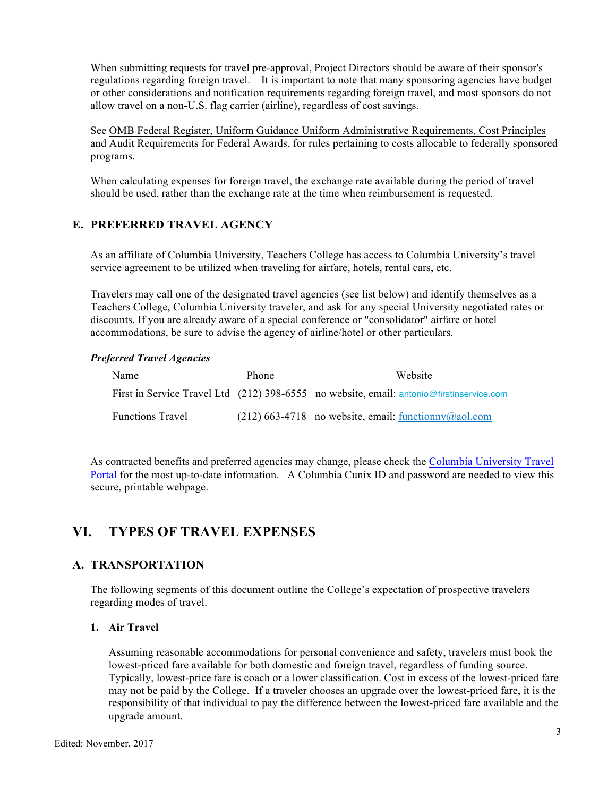When submitting requests for travel pre-approval, Project Directors should be aware of their sponsor's regulations regarding foreign travel. It is important to note that many sponsoring agencies have budget or other considerations and notification requirements regarding foreign travel, and most sponsors do not allow travel on a non-U.S. flag carrier (airline), regardless of cost savings.

See OMB Federal Register, Uniform Guidance Uniform Administrative Requirements, Cost Principles and Audit Requirements for Federal Awards, for rules pertaining to costs allocable to federally sponsored programs.

When calculating expenses for foreign travel, the exchange rate available during the period of travel should be used, rather than the exchange rate at the time when reimbursement is requested.

## **E. PREFERRED TRAVEL AGENCY**

As an affiliate of Columbia University, Teachers College has access to Columbia University's travel service agreement to be utilized when traveling for airfare, hotels, rental cars, etc.

Travelers may call one of the designated travel agencies (see list below) and identify themselves as a Teachers College, Columbia University traveler, and ask for any special University negotiated rates or discounts. If you are already aware of a special conference or "consolidator" airfare or hotel accommodations, be sure to advise the agency of airline/hotel or other particulars.

#### *Preferred Travel Agencies*

| Name                    | Phone | Website                                                                                  |
|-------------------------|-------|------------------------------------------------------------------------------------------|
|                         |       | First in Service Travel Ltd (212) 398-6555 no website, email: antonio@firstinservice.com |
| <b>Functions Travel</b> |       | $(212)$ 663-4718 no website, email: functionny (a) aol.com                               |

As contracted benefits and preferred agencies may change, please check the Columbia University Travel Portal for the most up-to-date information. A Columbia Cunix ID and password are needed to view this secure, printable webpage.

# **VI. TYPES OF TRAVEL EXPENSES**

### **A. TRANSPORTATION**

The following segments of this document outline the College's expectation of prospective travelers regarding modes of travel.

#### **1. Air Travel**

Assuming reasonable accommodations for personal convenience and safety, travelers must book the lowest-priced fare available for both domestic and foreign travel, regardless of funding source. Typically, lowest-price fare is coach or a lower classification. Cost in excess of the lowest-priced fare may not be paid by the College. If a traveler chooses an upgrade over the lowest-priced fare, it is the responsibility of that individual to pay the difference between the lowest-priced fare available and the upgrade amount.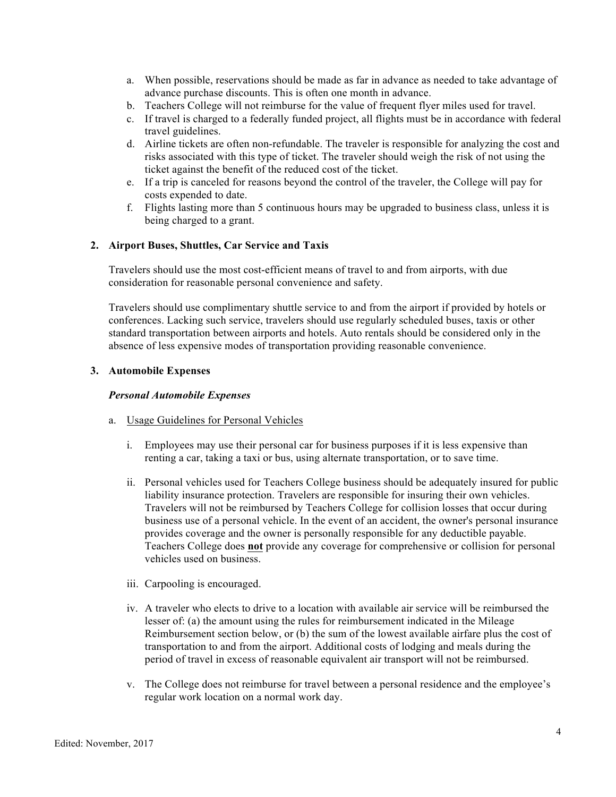- a. When possible, reservations should be made as far in advance as needed to take advantage of advance purchase discounts. This is often one month in advance.
- b. Teachers College will not reimburse for the value of frequent flyer miles used for travel.
- c. If travel is charged to a federally funded project, all flights must be in accordance with federal travel guidelines.
- d. Airline tickets are often non-refundable. The traveler is responsible for analyzing the cost and risks associated with this type of ticket. The traveler should weigh the risk of not using the ticket against the benefit of the reduced cost of the ticket.
- e. If a trip is canceled for reasons beyond the control of the traveler, the College will pay for costs expended to date.
- f. Flights lasting more than 5 continuous hours may be upgraded to business class, unless it is being charged to a grant.

#### **2. Airport Buses, Shuttles, Car Service and Taxis**

Travelers should use the most cost-efficient means of travel to and from airports, with due consideration for reasonable personal convenience and safety.

Travelers should use complimentary shuttle service to and from the airport if provided by hotels or conferences. Lacking such service, travelers should use regularly scheduled buses, taxis or other standard transportation between airports and hotels. Auto rentals should be considered only in the absence of less expensive modes of transportation providing reasonable convenience.

#### **3. Automobile Expenses**

#### *Personal Automobile Expenses*

- a. Usage Guidelines for Personal Vehicles
	- i. Employees may use their personal car for business purposes if it is less expensive than renting a car, taking a taxi or bus, using alternate transportation, or to save time.
	- ii. Personal vehicles used for Teachers College business should be adequately insured for public liability insurance protection. Travelers are responsible for insuring their own vehicles. Travelers will not be reimbursed by Teachers College for collision losses that occur during business use of a personal vehicle. In the event of an accident, the owner's personal insurance provides coverage and the owner is personally responsible for any deductible payable. Teachers College does **not** provide any coverage for comprehensive or collision for personal vehicles used on business.
	- iii. Carpooling is encouraged.
	- iv. A traveler who elects to drive to a location with available air service will be reimbursed the lesser of: (a) the amount using the rules for reimbursement indicated in the Mileage Reimbursement section below, or (b) the sum of the lowest available airfare plus the cost of transportation to and from the airport. Additional costs of lodging and meals during the period of travel in excess of reasonable equivalent air transport will not be reimbursed.
	- v. The College does not reimburse for travel between a personal residence and the employee's regular work location on a normal work day.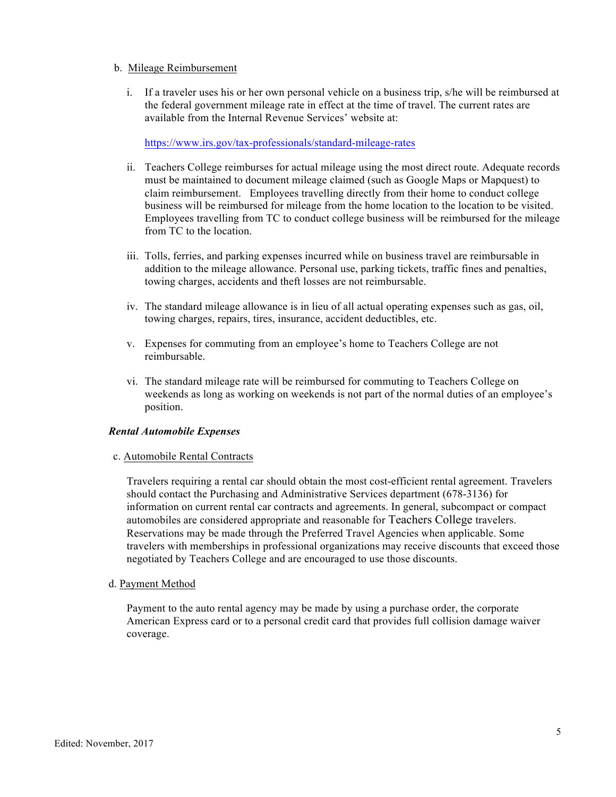#### b. Mileage Reimbursement

i. If a traveler uses his or her own personal vehicle on a business trip, s/he will be reimbursed at the federal government mileage rate in effect at the time of travel. The current rates are available from the Internal Revenue Services' website at:

https://www.irs.gov/tax-professionals/standard-mileage-rates

- ii. Teachers College reimburses for actual mileage using the most direct route. Adequate records must be maintained to document mileage claimed (such as Google Maps or Mapquest) to claim reimbursement. Employees travelling directly from their home to conduct college business will be reimbursed for mileage from the home location to the location to be visited. Employees travelling from TC to conduct college business will be reimbursed for the mileage from TC to the location.
- iii. Tolls, ferries, and parking expenses incurred while on business travel are reimbursable in addition to the mileage allowance. Personal use, parking tickets, traffic fines and penalties, towing charges, accidents and theft losses are not reimbursable.
- iv. The standard mileage allowance is in lieu of all actual operating expenses such as gas, oil, towing charges, repairs, tires, insurance, accident deductibles, etc.
- v. Expenses for commuting from an employee's home to Teachers College are not reimbursable.
- vi. The standard mileage rate will be reimbursed for commuting to Teachers College on weekends as long as working on weekends is not part of the normal duties of an employee's position.

#### *Rental Automobile Expenses*

c. Automobile Rental Contracts

Travelers requiring a rental car should obtain the most cost-efficient rental agreement. Travelers should contact the Purchasing and Administrative Services department (678-3136) for information on current rental car contracts and agreements. In general, subcompact or compact automobiles are considered appropriate and reasonable for Teachers College travelers. Reservations may be made through the Preferred Travel Agencies when applicable. Some travelers with memberships in professional organizations may receive discounts that exceed those negotiated by Teachers College and are encouraged to use those discounts.

d. Payment Method

Payment to the auto rental agency may be made by using a purchase order, the corporate American Express card or to a personal credit card that provides full collision damage waiver coverage.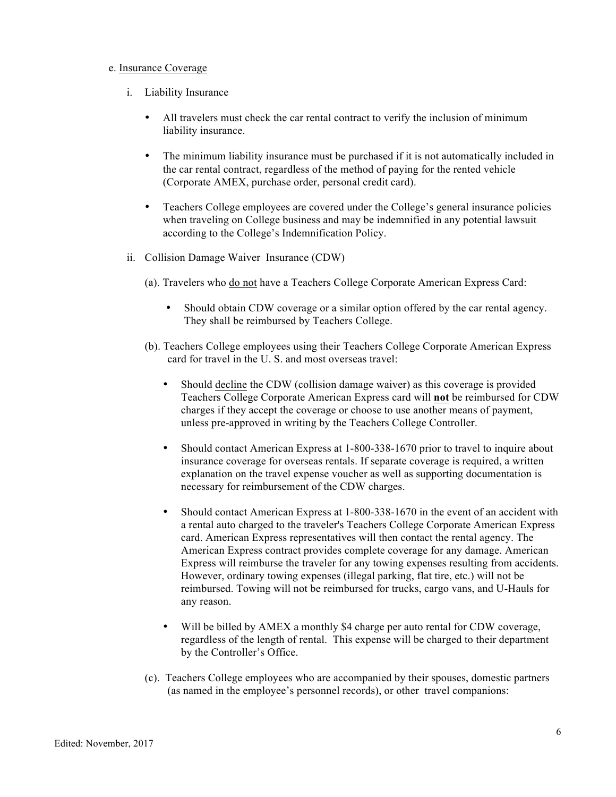#### e. Insurance Coverage

- i. Liability Insurance
	- All travelers must check the car rental contract to verify the inclusion of minimum liability insurance.
	- The minimum liability insurance must be purchased if it is not automatically included in the car rental contract, regardless of the method of paying for the rented vehicle (Corporate AMEX, purchase order, personal credit card).
	- Teachers College employees are covered under the College's general insurance policies when traveling on College business and may be indemnified in any potential lawsuit according to the College's Indemnification Policy.
- ii. Collision Damage Waiver Insurance (CDW)
	- (a). Travelers who do not have a Teachers College Corporate American Express Card:
		- Should obtain CDW coverage or a similar option offered by the car rental agency. They shall be reimbursed by Teachers College.
	- (b). Teachers College employees using their Teachers College Corporate American Express card for travel in the U. S. and most overseas travel:
		- Should decline the CDW (collision damage waiver) as this coverage is provided Teachers College Corporate American Express card will **not** be reimbursed for CDW charges if they accept the coverage or choose to use another means of payment, unless pre-approved in writing by the Teachers College Controller.
		- Should contact American Express at 1-800-338-1670 prior to travel to inquire about insurance coverage for overseas rentals. If separate coverage is required, a written explanation on the travel expense voucher as well as supporting documentation is necessary for reimbursement of the CDW charges.
		- Should contact American Express at 1-800-338-1670 in the event of an accident with a rental auto charged to the traveler's Teachers College Corporate American Express card. American Express representatives will then contact the rental agency. The American Express contract provides complete coverage for any damage. American Express will reimburse the traveler for any towing expenses resulting from accidents. However, ordinary towing expenses (illegal parking, flat tire, etc.) will not be reimbursed. Towing will not be reimbursed for trucks, cargo vans, and U-Hauls for any reason.
		- Will be billed by AMEX a monthly \$4 charge per auto rental for CDW coverage, regardless of the length of rental. This expense will be charged to their department by the Controller's Office.
	- (c). Teachers College employees who are accompanied by their spouses, domestic partners (as named in the employee's personnel records), or other travel companions: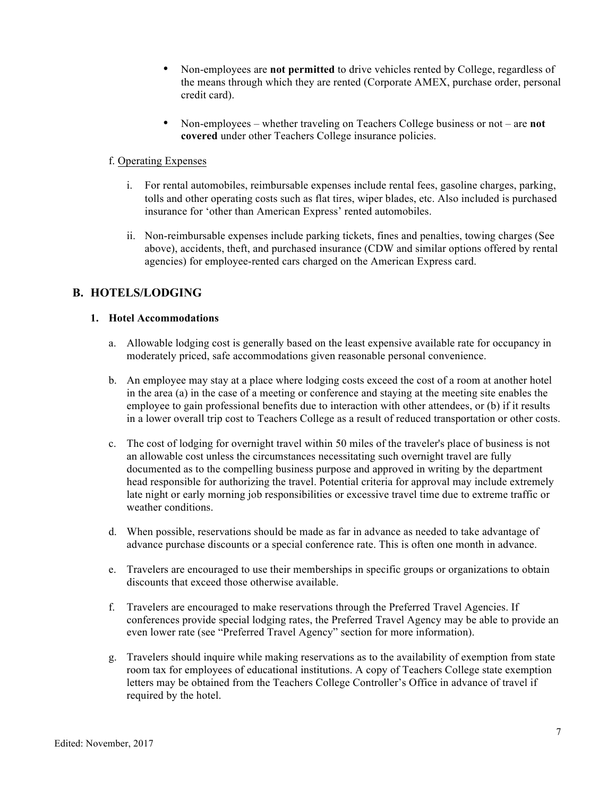- Non-employees are **not permitted** to drive vehicles rented by College, regardless of the means through which they are rented (Corporate AMEX, purchase order, personal credit card).
- Non-employees whether traveling on Teachers College business or not are **not covered** under other Teachers College insurance policies.

#### f. Operating Expenses

- i. For rental automobiles, reimbursable expenses include rental fees, gasoline charges, parking, tolls and other operating costs such as flat tires, wiper blades, etc. Also included is purchased insurance for 'other than American Express' rented automobiles.
- ii. Non-reimbursable expenses include parking tickets, fines and penalties, towing charges (See above), accidents, theft, and purchased insurance (CDW and similar options offered by rental agencies) for employee-rented cars charged on the American Express card.

# **B. HOTELS/LODGING**

#### **1. Hotel Accommodations**

- a. Allowable lodging cost is generally based on the least expensive available rate for occupancy in moderately priced, safe accommodations given reasonable personal convenience.
- b. An employee may stay at a place where lodging costs exceed the cost of a room at another hotel in the area (a) in the case of a meeting or conference and staying at the meeting site enables the employee to gain professional benefits due to interaction with other attendees, or (b) if it results in a lower overall trip cost to Teachers College as a result of reduced transportation or other costs.
- c. The cost of lodging for overnight travel within 50 miles of the traveler's place of business is not an allowable cost unless the circumstances necessitating such overnight travel are fully documented as to the compelling business purpose and approved in writing by the department head responsible for authorizing the travel. Potential criteria for approval may include extremely late night or early morning job responsibilities or excessive travel time due to extreme traffic or weather conditions.
- d. When possible, reservations should be made as far in advance as needed to take advantage of advance purchase discounts or a special conference rate. This is often one month in advance.
- e. Travelers are encouraged to use their memberships in specific groups or organizations to obtain discounts that exceed those otherwise available.
- f. Travelers are encouraged to make reservations through the Preferred Travel Agencies. If conferences provide special lodging rates, the Preferred Travel Agency may be able to provide an even lower rate (see "Preferred Travel Agency" section for more information).
- g. Travelers should inquire while making reservations as to the availability of exemption from state room tax for employees of educational institutions. A copy of Teachers College state exemption letters may be obtained from the Teachers College Controller's Office in advance of travel if required by the hotel.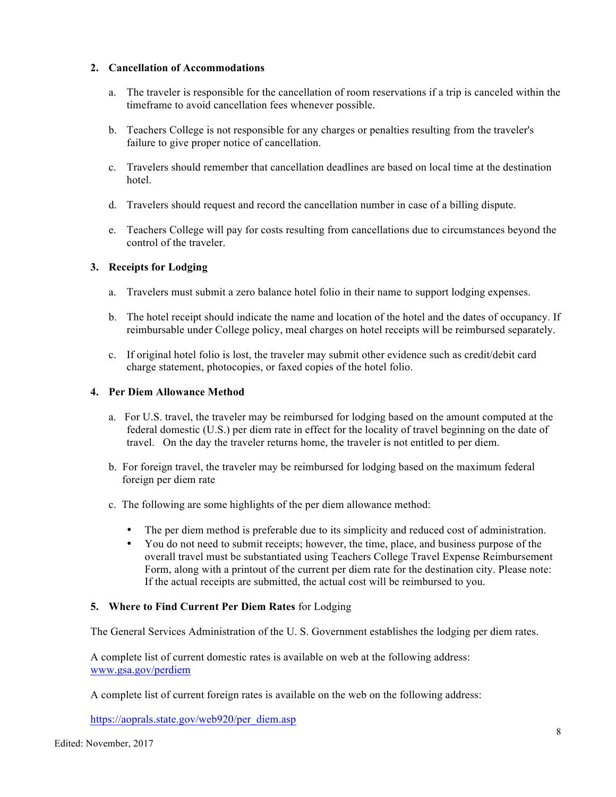#### **2. Cancellation of Accommodations**

- a. The traveler is responsible for the cancellation of room reservations if a trip is canceled within the timeframe to avoid cancellation fees whenever possible.
- b. Teachers College is not responsible for any charges or penalties resulting from the traveler's failure to give proper notice of cancellation.
- c. Travelers should remember that cancellation deadlines are based on local time at the destination hotel.
- d. Travelers should request and record the cancellation number in case of a billing dispute.
- e. Teachers College will pay for costs resulting from cancellations due to circumstances beyond the control of the traveler.

#### **3. Receipts for Lodging**

- a. Travelers must submit a zero balance hotel folio in their name to support lodging expenses.
- b. The hotel receipt should indicate the name and location of the hotel and the dates of occupancy. If reimbursable under College policy, meal charges on hotel receipts will be reimbursed separately.
- c. If original hotel folio is lost, the traveler may submit other evidence such as credit/debit card charge statement, photocopies, or faxed copies of the hotel folio.

#### **4. Per Diem Allowance Method**

- a. For U.S. travel, the traveler may be reimbursed for lodging based on the amount computed at the federal domestic (U.S.) per diem rate in effect for the locality of travel beginning on the date of travel. On the day the traveler returns home, the traveler is not entitled to per diem.
- b. For foreign travel, the traveler may be reimbursed for lodging based on the maximum federal foreign per diem rate
- c. The following are some highlights of the per diem allowance method:
	- The per diem method is preferable due to its simplicity and reduced cost of administration.
	- You do not need to submit receipts; however, the time, place, and business purpose of the overall travel must be substantiated using Teachers College Travel Expense Reimbursement Form, along with a printout of the current per diem rate for the destination city. Please note: If the actual receipts are submitted, the actual cost will be reimbursed to you.

#### **5. Where to Find Current Per Diem Rates** for Lodging

The General Services Administration of the U. S. Government establishes the lodging per diem rates.

A complete list of current domestic rates is available on web at the following address: www.gsa.gov/perdiem

A complete list of current foreign rates is available on the web on the following address:

https://aoprals.state.gov/web920/per\_diem.asp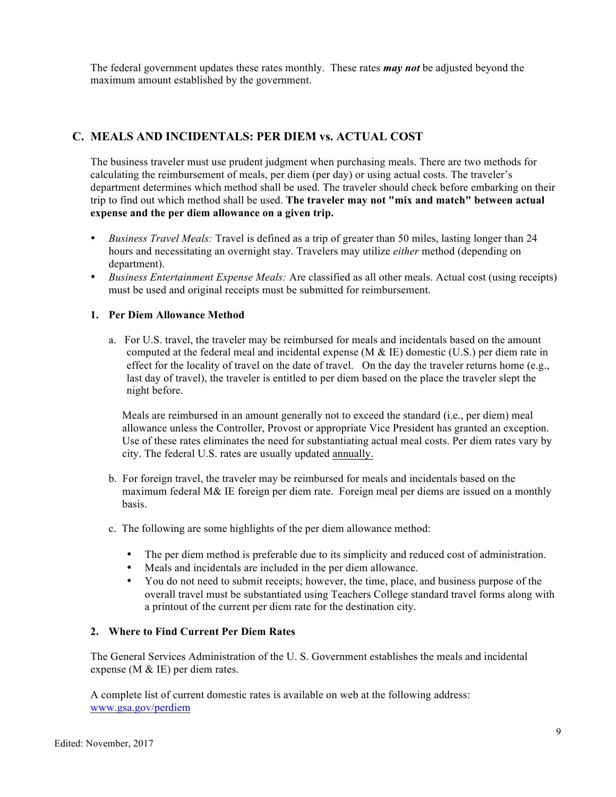The federal government updates these rates monthly. These rates *may not* be adjusted beyond the maximum amount established by the government.

# **C. MEALS AND INCIDENTALS: PER DIEM vs. ACTUAL COST**

The business traveler must use prudent judgment when purchasing meals. There are two methods for calculating the reimbursement of meals, per diem (per day) or using actual costs. The traveler's department determines which method shall be used. The traveler should check before embarking on their trip to find out which method shall be used. **The traveler may not "mix and match" between actual expense and the per diem allowance on a given trip.** 

- *Business Travel Meals:* Travel is defined as a trip of greater than 50 miles, lasting longer than 24 hours and necessitating an overnight stay. Travelers may utilize *either* method (depending on department).
- *Business Entertainment Expense Meals:* Are classified as all other meals. Actual cost (using receipts) must be used and original receipts must be submitted for reimbursement.

#### **1. Per Diem Allowance Method**

a. For U.S. travel, the traveler may be reimbursed for meals and incidentals based on the amount computed at the federal meal and incidental expense (M  $\&$  IE) domestic (U.S.) per diem rate in effect for the locality of travel on the date of travel. On the day the traveler returns home (e.g., last day of travel), the traveler is entitled to per diem based on the place the traveler slept the night before.

Meals are reimbursed in an amount generally not to exceed the standard (i.e., per diem) meal allowance unless the Controller, Provost or appropriate Vice President has granted an exception. Use of these rates eliminates the need for substantiating actual meal costs. Per diem rates vary by city. The federal U.S. rates are usually updated annually.

- b. For foreign travel, the traveler may be reimbursed for meals and incidentals based on the maximum federal M& IE foreign per diem rate. Foreign meal per diems are issued on a monthly basis.
- c. The following are some highlights of the per diem allowance method:
	- The per diem method is preferable due to its simplicity and reduced cost of administration.
	- Meals and incidentals are included in the per diem allowance.
	- You do not need to submit receipts; however, the time, place, and business purpose of the overall travel must be substantiated using Teachers College standard travel forms along with a printout of the current per diem rate for the destination city.

#### **2. Where to Find Current Per Diem Rates**

The General Services Administration of the U. S. Government establishes the meals and incidental expense (M & IE) per diem rates.

A complete list of current domestic rates is available on web at the following address: www.gsa.gov/perdiem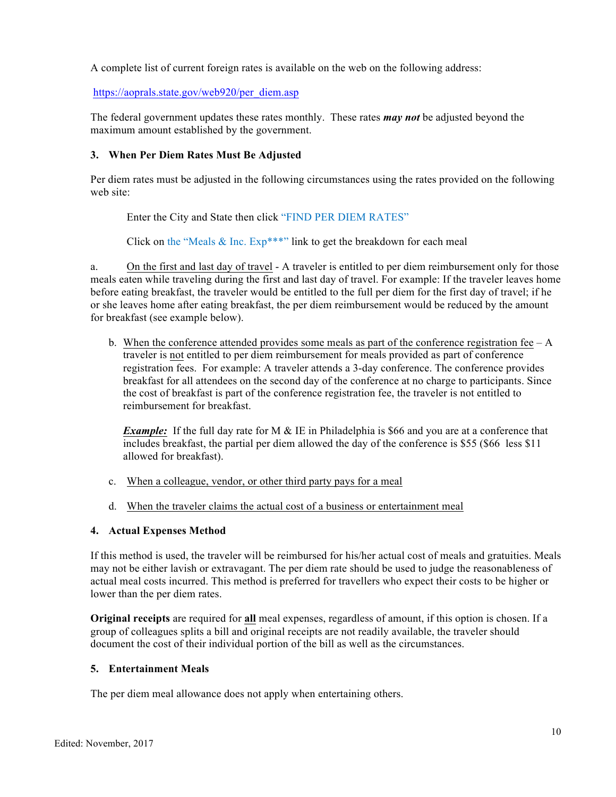A complete list of current foreign rates is available on the web on the following address:

https://aoprals.state.gov/web920/per\_diem.asp

The federal government updates these rates monthly. These rates *may not* be adjusted beyond the maximum amount established by the government.

#### **3. When Per Diem Rates Must Be Adjusted**

Per diem rates must be adjusted in the following circumstances using the rates provided on the following web site:

Enter the City and State then click "FIND PER DIEM RATES"

Click on the "Meals  $&$  Inc. Exp\*\*\*" link to get the breakdown for each meal

a. On the first and last day of travel - A traveler is entitled to per diem reimbursement only for those meals eaten while traveling during the first and last day of travel. For example: If the traveler leaves home before eating breakfast, the traveler would be entitled to the full per diem for the first day of travel; if he or she leaves home after eating breakfast, the per diem reimbursement would be reduced by the amount for breakfast (see example below).

b. When the conference attended provides some meals as part of the conference registration fee – A traveler is not entitled to per diem reimbursement for meals provided as part of conference registration fees. For example: A traveler attends a 3-day conference. The conference provides breakfast for all attendees on the second day of the conference at no charge to participants. Since the cost of breakfast is part of the conference registration fee, the traveler is not entitled to reimbursement for breakfast.

*Example:* If the full day rate for M & IE in Philadelphia is \$66 and you are at a conference that includes breakfast, the partial per diem allowed the day of the conference is \$55 (\$66 less \$11 allowed for breakfast).

- c. When a colleague, vendor, or other third party pays for a meal
- d. When the traveler claims the actual cost of a business or entertainment meal

#### **4. Actual Expenses Method**

If this method is used, the traveler will be reimbursed for his/her actual cost of meals and gratuities. Meals may not be either lavish or extravagant. The per diem rate should be used to judge the reasonableness of actual meal costs incurred. This method is preferred for travellers who expect their costs to be higher or lower than the per diem rates.

**Original receipts** are required for **all** meal expenses, regardless of amount, if this option is chosen. If a group of colleagues splits a bill and original receipts are not readily available, the traveler should document the cost of their individual portion of the bill as well as the circumstances.

#### **5. Entertainment Meals**

The per diem meal allowance does not apply when entertaining others.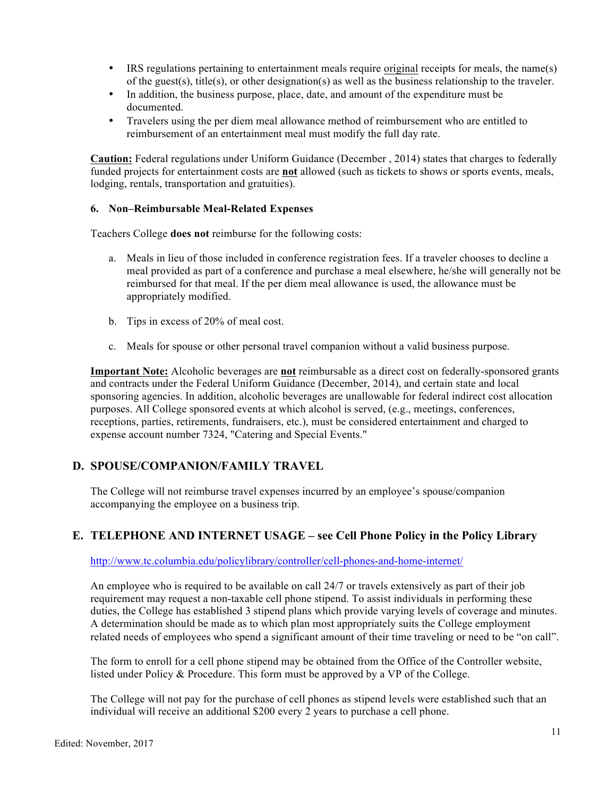- IRS regulations pertaining to entertainment meals require original receipts for meals, the name(s) of the guest(s), title(s), or other designation(s) as well as the business relationship to the traveler.
- In addition, the business purpose, place, date, and amount of the expenditure must be documented.
- Travelers using the per diem meal allowance method of reimbursement who are entitled to reimbursement of an entertainment meal must modify the full day rate.

**Caution:** Federal regulations under Uniform Guidance (December , 2014) states that charges to federally funded projects for entertainment costs are **not** allowed (such as tickets to shows or sports events, meals, lodging, rentals, transportation and gratuities).

#### **6. Non–Reimbursable Meal-Related Expenses**

Teachers College **does not** reimburse for the following costs:

- a. Meals in lieu of those included in conference registration fees. If a traveler chooses to decline a meal provided as part of a conference and purchase a meal elsewhere, he/she will generally not be reimbursed for that meal. If the per diem meal allowance is used, the allowance must be appropriately modified.
- b. Tips in excess of 20% of meal cost.
- c. Meals for spouse or other personal travel companion without a valid business purpose.

**Important Note:** Alcoholic beverages are **not** reimbursable as a direct cost on federally-sponsored grants and contracts under the Federal Uniform Guidance (December, 2014), and certain state and local sponsoring agencies. In addition, alcoholic beverages are unallowable for federal indirect cost allocation purposes. All College sponsored events at which alcohol is served, (e.g., meetings, conferences, receptions, parties, retirements, fundraisers, etc.), must be considered entertainment and charged to expense account number 7324, "Catering and Special Events."

### **D. SPOUSE/COMPANION/FAMILY TRAVEL**

The College will not reimburse travel expenses incurred by an employee's spouse/companion accompanying the employee on a business trip.

### **E. TELEPHONE AND INTERNET USAGE – see Cell Phone Policy in the Policy Library**

http://www.tc.columbia.edu/policylibrary/controller/cell-phones-and-home-internet/

An employee who is required to be available on call 24/7 or travels extensively as part of their job requirement may request a non-taxable cell phone stipend. To assist individuals in performing these duties, the College has established 3 stipend plans which provide varying levels of coverage and minutes. A determination should be made as to which plan most appropriately suits the College employment related needs of employees who spend a significant amount of their time traveling or need to be "on call".

The form to enroll for a cell phone stipend may be obtained from the Office of the Controller website, listed under Policy & Procedure. This form must be approved by a VP of the College.

The College will not pay for the purchase of cell phones as stipend levels were established such that an individual will receive an additional \$200 every 2 years to purchase a cell phone.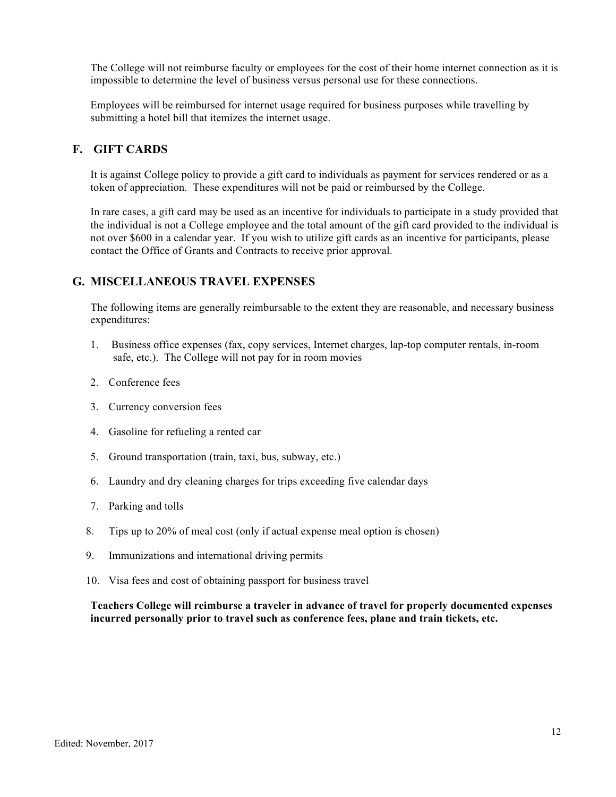The College will not reimburse faculty or employees for the cost of their home internet connection as it is impossible to determine the level of business versus personal use for these connections.

Employees will be reimbursed for internet usage required for business purposes while travelling by submitting a hotel bill that itemizes the internet usage.

### **F. GIFT CARDS**

It is against College policy to provide a gift card to individuals as payment for services rendered or as a token of appreciation. These expenditures will not be paid or reimbursed by the College.

In rare cases, a gift card may be used as an incentive for individuals to participate in a study provided that the individual is not a College employee and the total amount of the gift card provided to the individual is not over \$600 in a calendar year. If you wish to utilize gift cards as an incentive for participants, please contact the Office of Grants and Contracts to receive prior approval.

#### **G. MISCELLANEOUS TRAVEL EXPENSES**

The following items are generally reimbursable to the extent they are reasonable, and necessary business expenditures:

- 1. Business office expenses (fax, copy services, Internet charges, lap-top computer rentals, in-room safe, etc.). The College will not pay for in room movies
- 2. Conference fees
- 3. Currency conversion fees
- 4. Gasoline for refueling a rented car
- 5. Ground transportation (train, taxi, bus, subway, etc.)
- 6. Laundry and dry cleaning charges for trips exceeding five calendar days
- 7. Parking and tolls
- 8. Tips up to 20% of meal cost (only if actual expense meal option is chosen)
- 9. Immunizations and international driving permits
- 10. Visa fees and cost of obtaining passport for business travel

**Teachers College will reimburse a traveler in advance of travel for properly documented expenses incurred personally prior to travel such as conference fees, plane and train tickets, etc.**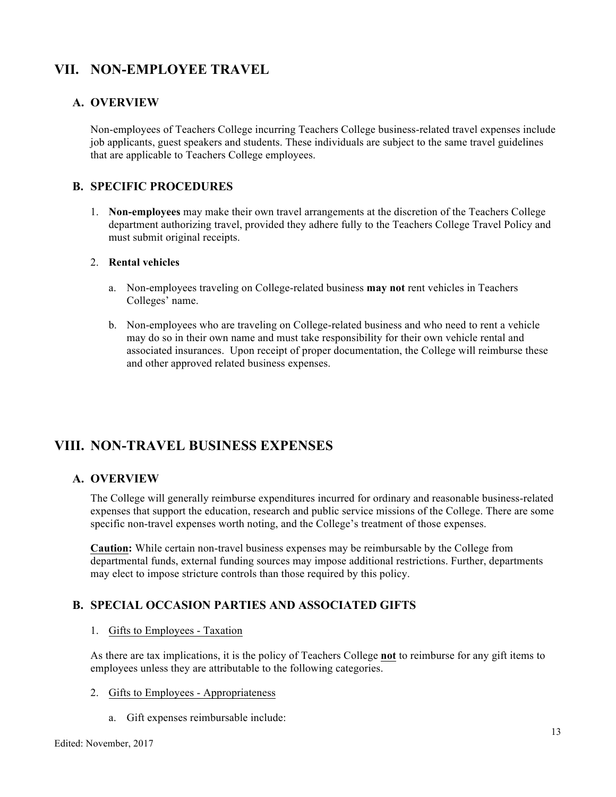# **VII. NON-EMPLOYEE TRAVEL**

### **A. OVERVIEW**

Non-employees of Teachers College incurring Teachers College business-related travel expenses include job applicants, guest speakers and students. These individuals are subject to the same travel guidelines that are applicable to Teachers College employees.

### **B. SPECIFIC PROCEDURES**

1. **Non-employees** may make their own travel arrangements at the discretion of the Teachers College department authorizing travel, provided they adhere fully to the Teachers College Travel Policy and must submit original receipts.

#### 2. **Rental vehicles**

- a. Non-employees traveling on College-related business **may not** rent vehicles in Teachers Colleges' name.
- b. Non-employees who are traveling on College-related business and who need to rent a vehicle may do so in their own name and must take responsibility for their own vehicle rental and associated insurances. Upon receipt of proper documentation, the College will reimburse these and other approved related business expenses.

# **VIII. NON-TRAVEL BUSINESS EXPENSES**

### **A. OVERVIEW**

The College will generally reimburse expenditures incurred for ordinary and reasonable business-related expenses that support the education, research and public service missions of the College. There are some specific non-travel expenses worth noting, and the College's treatment of those expenses.

**Caution:** While certain non-travel business expenses may be reimbursable by the College from departmental funds, external funding sources may impose additional restrictions. Further, departments may elect to impose stricture controls than those required by this policy.

# **B. SPECIAL OCCASION PARTIES AND ASSOCIATED GIFTS**

#### 1. Gifts to Employees - Taxation

As there are tax implications, it is the policy of Teachers College **not** to reimburse for any gift items to employees unless they are attributable to the following categories.

#### 2. Gifts to Employees - Appropriateness

a. Gift expenses reimbursable include: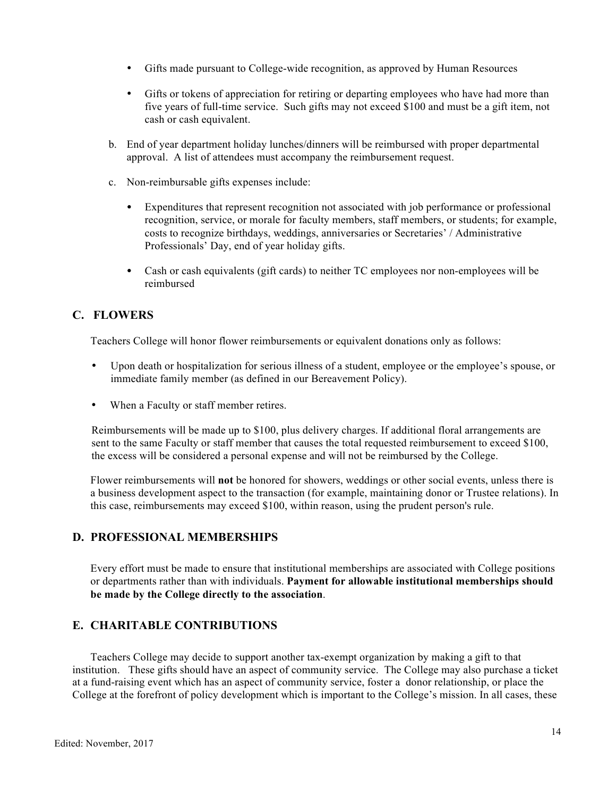- Gifts made pursuant to College-wide recognition, as approved by Human Resources
- Gifts or tokens of appreciation for retiring or departing employees who have had more than five years of full-time service. Such gifts may not exceed \$100 and must be a gift item, not cash or cash equivalent.
- b. End of year department holiday lunches/dinners will be reimbursed with proper departmental approval. A list of attendees must accompany the reimbursement request.
- c. Non-reimbursable gifts expenses include:
	- Expenditures that represent recognition not associated with job performance or professional recognition, service, or morale for faculty members, staff members, or students; for example, costs to recognize birthdays, weddings, anniversaries or Secretaries' / Administrative Professionals' Day, end of year holiday gifts.
	- Cash or cash equivalents (gift cards) to neither TC employees nor non-employees will be reimbursed

# **C. FLOWERS**

Teachers College will honor flower reimbursements or equivalent donations only as follows:

- Upon death or hospitalization for serious illness of a student, employee or the employee's spouse, or immediate family member (as defined in our Bereavement Policy).
- When a Faculty or staff member retires.

Reimbursements will be made up to \$100, plus delivery charges. If additional floral arrangements are sent to the same Faculty or staff member that causes the total requested reimbursement to exceed \$100, the excess will be considered a personal expense and will not be reimbursed by the College.

Flower reimbursements will **not** be honored for showers, weddings or other social events, unless there is a business development aspect to the transaction (for example, maintaining donor or Trustee relations). In this case, reimbursements may exceed \$100, within reason, using the prudent person's rule.

# **D. PROFESSIONAL MEMBERSHIPS**

Every effort must be made to ensure that institutional memberships are associated with College positions or departments rather than with individuals. **Payment for allowable institutional memberships should be made by the College directly to the association**.

# **E. CHARITABLE CONTRIBUTIONS**

Teachers College may decide to support another tax-exempt organization by making a gift to that institution. These gifts should have an aspect of community service. The College may also purchase a ticket at a fund-raising event which has an aspect of community service, foster a donor relationship, or place the College at the forefront of policy development which is important to the College's mission. In all cases, these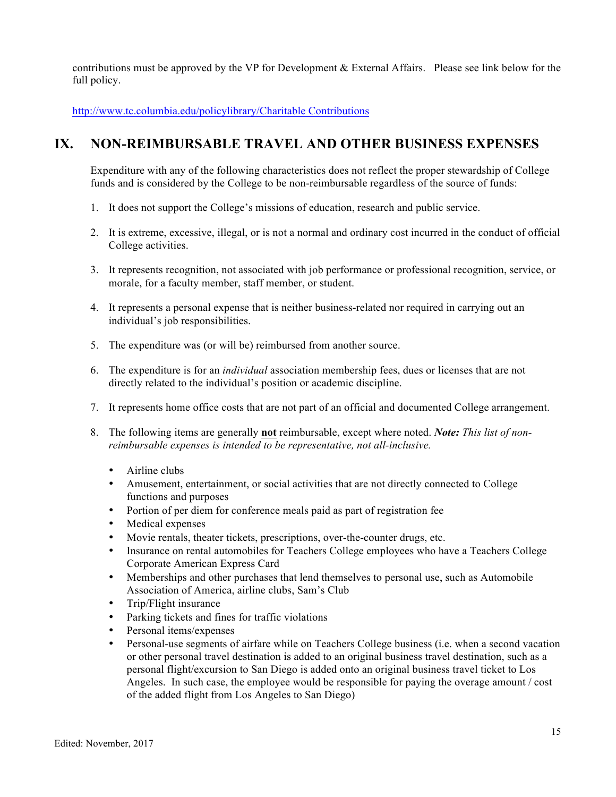contributions must be approved by the VP for Development & External Affairs. Please see link below for the full policy.

http://www.tc.columbia.edu/policylibrary/Charitable Contributions

# **IX. NON-REIMBURSABLE TRAVEL AND OTHER BUSINESS EXPENSES**

Expenditure with any of the following characteristics does not reflect the proper stewardship of College funds and is considered by the College to be non-reimbursable regardless of the source of funds:

- 1. It does not support the College's missions of education, research and public service.
- 2. It is extreme, excessive, illegal, or is not a normal and ordinary cost incurred in the conduct of official College activities.
- 3. It represents recognition, not associated with job performance or professional recognition, service, or morale, for a faculty member, staff member, or student.
- 4. It represents a personal expense that is neither business-related nor required in carrying out an individual's job responsibilities.
- 5. The expenditure was (or will be) reimbursed from another source.
- 6. The expenditure is for an *individual* association membership fees, dues or licenses that are not directly related to the individual's position or academic discipline.
- 7. It represents home office costs that are not part of an official and documented College arrangement.
- 8. The following items are generally **not** reimbursable, except where noted. *Note: This list of nonreimbursable expenses is intended to be representative, not all-inclusive.*
	- Airline clubs
	- Amusement, entertainment, or social activities that are not directly connected to College functions and purposes
	- Portion of per diem for conference meals paid as part of registration fee
	- Medical expenses
	- Movie rentals, theater tickets, prescriptions, over-the-counter drugs, etc.
	- Insurance on rental automobiles for Teachers College employees who have a Teachers College Corporate American Express Card
	- Memberships and other purchases that lend themselves to personal use, such as Automobile Association of America, airline clubs, Sam's Club
	- Trip/Flight insurance
	- Parking tickets and fines for traffic violations
	- Personal items/expenses
	- Personal-use segments of airfare while on Teachers College business (i.e. when a second vacation or other personal travel destination is added to an original business travel destination, such as a personal flight/excursion to San Diego is added onto an original business travel ticket to Los Angeles. In such case, the employee would be responsible for paying the overage amount / cost of the added flight from Los Angeles to San Diego)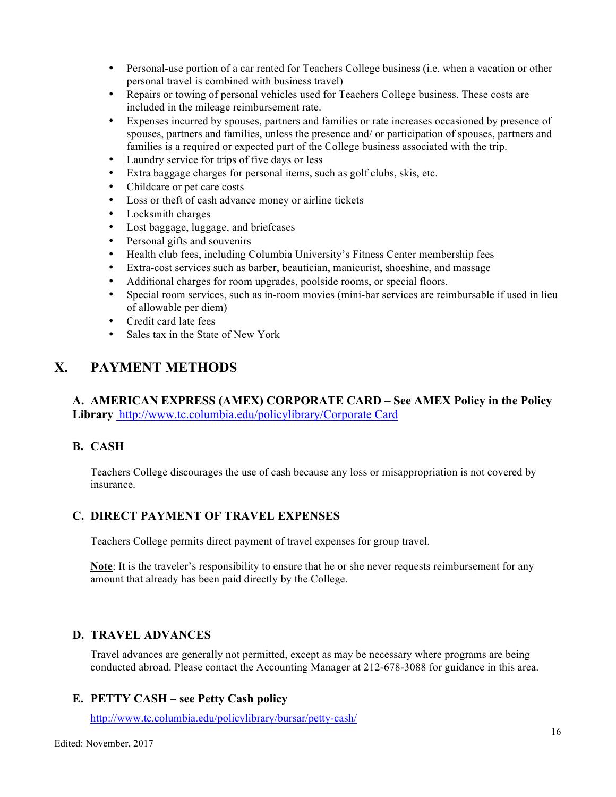- Personal-use portion of a car rented for Teachers College business (i.e. when a vacation or other personal travel is combined with business travel)
- Repairs or towing of personal vehicles used for Teachers College business. These costs are included in the mileage reimbursement rate.
- Expenses incurred by spouses, partners and families or rate increases occasioned by presence of spouses, partners and families, unless the presence and/ or participation of spouses, partners and families is a required or expected part of the College business associated with the trip.
- Laundry service for trips of five days or less
- Extra baggage charges for personal items, such as golf clubs, skis, etc.
- Childcare or pet care costs
- Loss or theft of cash advance money or airline tickets
- Locksmith charges
- Lost baggage, luggage, and briefcases
- Personal gifts and souvenirs
- Health club fees, including Columbia University's Fitness Center membership fees
- Extra-cost services such as barber, beautician, manicurist, shoeshine, and massage
- Additional charges for room upgrades, poolside rooms, or special floors.
- Special room services, such as in-room movies (mini-bar services are reimbursable if used in lieu of allowable per diem)
- Credit card late fees
- Sales tax in the State of New York

# **X. PAYMENT METHODS**

**A. AMERICAN EXPRESS (AMEX) CORPORATE CARD – See AMEX Policy in the Policy Library** http://www.tc.columbia.edu/policylibrary/Corporate Card

# **B. CASH**

Teachers College discourages the use of cash because any loss or misappropriation is not covered by insurance.

# **C. DIRECT PAYMENT OF TRAVEL EXPENSES**

Teachers College permits direct payment of travel expenses for group travel.

**Note**: It is the traveler's responsibility to ensure that he or she never requests reimbursement for any amount that already has been paid directly by the College.

### **D. TRAVEL ADVANCES**

Travel advances are generally not permitted, except as may be necessary where programs are being conducted abroad. Please contact the Accounting Manager at 212-678-3088 for guidance in this area.

### **E. PETTY CASH – see Petty Cash policy**

http://www.tc.columbia.edu/policylibrary/bursar/petty-cash/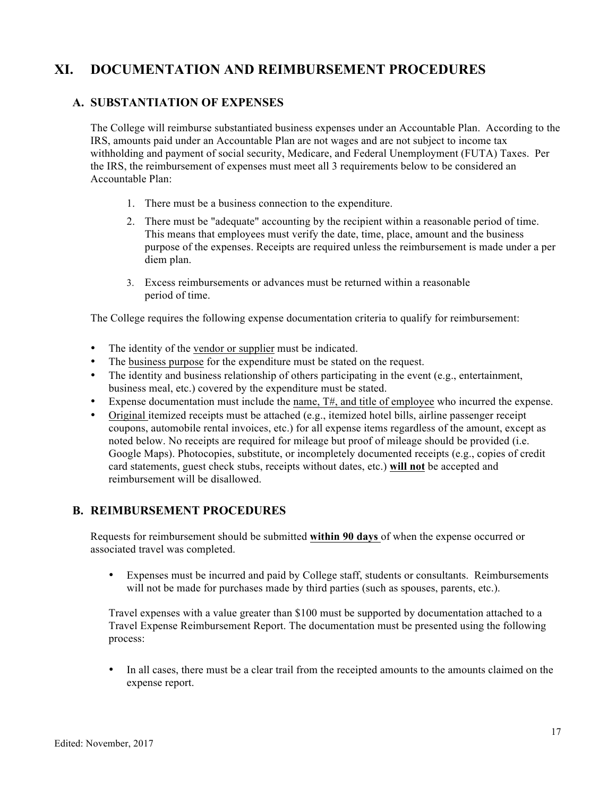# **XI. DOCUMENTATION AND REIMBURSEMENT PROCEDURES**

## **A. SUBSTANTIATION OF EXPENSES**

The College will reimburse substantiated business expenses under an Accountable Plan. According to the IRS, amounts paid under an Accountable Plan are not wages and are not subject to income tax withholding and payment of social security, Medicare, and Federal Unemployment (FUTA) Taxes. Per the IRS, the reimbursement of expenses must meet all 3 requirements below to be considered an Accountable Plan:

- 1. There must be a business connection to the expenditure.
- 2. There must be "adequate" accounting by the recipient within a reasonable period of time. This means that employees must verify the date, time, place, amount and the business purpose of the expenses. Receipts are required unless the reimbursement is made under a per diem plan.
- 3. Excess reimbursements or advances must be returned within a reasonable period of time.

The College requires the following expense documentation criteria to qualify for reimbursement:

- The identity of the vendor or supplier must be indicated.
- The business purpose for the expenditure must be stated on the request.
- The identity and business relationship of others participating in the event (e.g., entertainment, business meal, etc.) covered by the expenditure must be stated.
- Expense documentation must include the <u>name,  $T\#$ , and title of employee</u> who incurred the expense.
- Original itemized receipts must be attached (e.g., itemized hotel bills, airline passenger receipt coupons, automobile rental invoices, etc.) for all expense items regardless of the amount, except as noted below. No receipts are required for mileage but proof of mileage should be provided (i.e. Google Maps). Photocopies, substitute, or incompletely documented receipts (e.g., copies of credit card statements, guest check stubs, receipts without dates, etc.) **will not** be accepted and reimbursement will be disallowed.

### **B. REIMBURSEMENT PROCEDURES**

Requests for reimbursement should be submitted **within 90 days** of when the expense occurred or associated travel was completed.

• Expenses must be incurred and paid by College staff, students or consultants. Reimbursements will not be made for purchases made by third parties (such as spouses, parents, etc.).

Travel expenses with a value greater than \$100 must be supported by documentation attached to a Travel Expense Reimbursement Report. The documentation must be presented using the following process:

• In all cases, there must be a clear trail from the receipted amounts to the amounts claimed on the expense report.